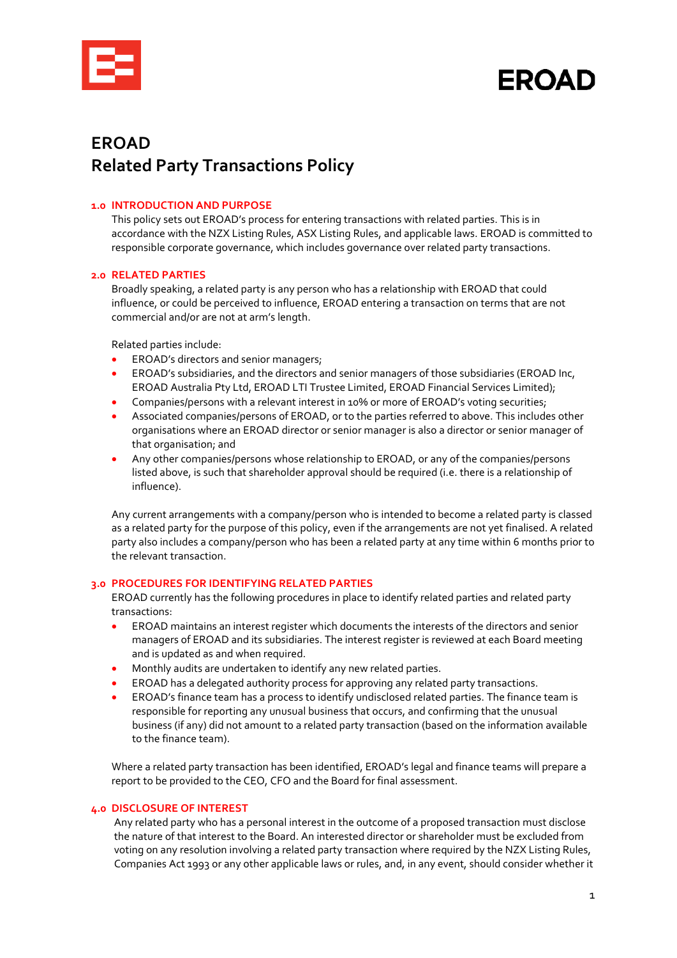

**EROAD** 

# **EROAD Related Party Transactions Policy**

#### **1.0 INTRODUCTION AND PURPOSE**

This policy sets out EROAD's process for entering transactions with related parties. This is in accordance with the NZX Listing Rules, ASX Listing Rules, and applicable laws. EROAD is committed to responsible corporate governance, which includes governance over related party transactions.

#### **2.0 RELATED PARTIES**

Broadly speaking, a related party is any person who has a relationship with EROAD that could influence, or could be perceived to influence, EROAD entering a transaction on terms that are not commercial and/or are not at arm's length.

Related parties include:

- EROAD's directors and senior managers;
- EROAD's subsidiaries, and the directors and senior managers of those subsidiaries (EROAD Inc, EROAD Australia Pty Ltd, EROAD LTI Trustee Limited, EROAD Financial Services Limited);
- Companies/persons with a relevant interest in 10% or more of EROAD's voting securities;
- Associated companies/persons of EROAD, or to the parties referred to above. This includes other organisations where an EROAD director or senior manager is also a director or senior manager of that organisation; and
- Any other companies/persons whose relationship to EROAD, or any of the companies/persons listed above, is such that shareholder approval should be required (i.e. there is a relationship of influence).

Any current arrangements with a company/person who is intended to become a related party is classed as a related party for the purpose of this policy, even if the arrangements are not yet finalised. A related party also includes a company/person who has been a related party at any time within 6 months prior to the relevant transaction.

#### **3.0 PROCEDURES FOR IDENTIFYING RELATED PARTIES**

EROAD currently has the following procedures in place to identify related parties and related party transactions:

- EROAD maintains an interest register which documents the interests of the directors and senior managers of EROAD and its subsidiaries. The interest register is reviewed at each Board meeting and is updated as and when required.
- Monthly audits are undertaken to identify any new related parties.
- EROAD has a delegated authority process for approving any related party transactions.
- EROAD's finance team has a process to identify undisclosed related parties. The finance team is responsible for reporting any unusual business that occurs, and confirming that the unusual business (if any) did not amount to a related party transaction (based on the information available to the finance team).

Where a related party transaction has been identified, EROAD's legal and finance teams will prepare a report to be provided to the CEO, CFO and the Board for final assessment.

# **4.0 DISCLOSURE OF INTEREST**

Any related party who has a personal interest in the outcome of a proposed transaction must disclose the nature of that interest to the Board. An interested director or shareholder must be excluded from voting on any resolution involving a related party transaction where required by the NZX Listing Rules, Companies Act 1993 or any other applicable laws or rules, and, in any event, should consider whether it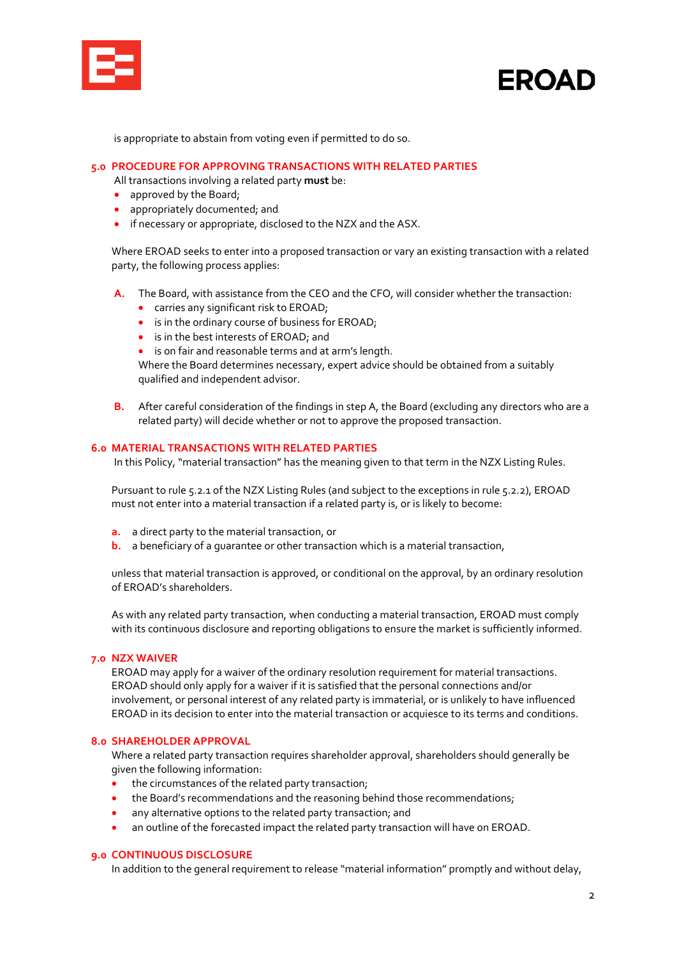| $\mathcal{L}(\mathcal{L})$ and $\mathcal{L}(\mathcal{L})$ and $\mathcal{L}(\mathcal{L})$ and $\mathcal{L}(\mathcal{L})$ |
|-------------------------------------------------------------------------------------------------------------------------|
|                                                                                                                         |
|                                                                                                                         |
|                                                                                                                         |
| <b>Contract Contract Contract Contract Contract Contract Contract Contract Contract Contract Contract Contract C</b>    |

# **EROAD**

is appropriate to abstain from voting even if permitted to do so.

#### **5.0 PROCEDURE FOR APPROVING TRANSACTIONS WITH RELATED PARTIES**

All transactions involving a related party **must** be:

- approved by the Board;
- appropriately documented; and
- if necessary or appropriate, disclosed to the NZX and the ASX.

Where EROAD seeks to enter into a proposed transaction or vary an existing transaction with a related party, the following process applies:

- **A.** The Board, with assistance from the CEO and the CFO, will consider whether the transaction:
	- carries any significant risk to EROAD;
	- is in the ordinary course of business for EROAD;
	- is in the best interests of EROAD; and

• is on fair and reasonable terms and at arm's length. Where the Board determines necessary, expert advice should be obtained from a suitably qualified and independent advisor.

**B.** After careful consideration of the findings in step A, the Board (excluding any directors who are a related party) will decide whether or not to approve the proposed transaction.

#### **6.0 MATERIAL TRANSACTIONS WITH RELATED PARTIES**

In this Policy, "material transaction" has the meaning given to that term in the NZX Listing Rules.

Pursuant to rule 5.2.1 of the NZX Listing Rules (and subject to the exceptions in rule 5.2.2), EROAD must not enter into a material transaction if a related party is, or is likely to become:

- **a.** a direct party to the material transaction, or
- **b.** a beneficiary of a guarantee or other transaction which is a material transaction,

unless that material transaction is approved, or conditional on the approval, by an ordinary resolution of EROAD's shareholders.

As with any related party transaction, when conducting a material transaction, EROAD must comply with its continuous disclosure and reporting obligations to ensure the market is sufficiently informed.

## **7.0 NZX WAIVER**

EROAD may apply for a waiver of the ordinary resolution requirement for material transactions. EROAD should only apply for a waiver if it is satisfied that the personal connections and/or involvement, or personal interest of any related party is immaterial, or is unlikely to have influenced EROAD in its decision to enter into the material transaction or acquiesce to its terms and conditions.

#### **8.0 SHAREHOLDER APPROVAL**

Where a related party transaction requires shareholder approval, shareholders should generally be given the following information:

- the circumstances of the related party transaction;
- the Board's recommendations and the reasoning behind those recommendations;
- any alternative options to the related party transaction; and
- an outline of the forecasted impact the related party transaction will have on EROAD.

#### **9.0 CONTINUOUS DISCLOSURE**

In addition to the general requirement to release "material information" promptly and without delay,